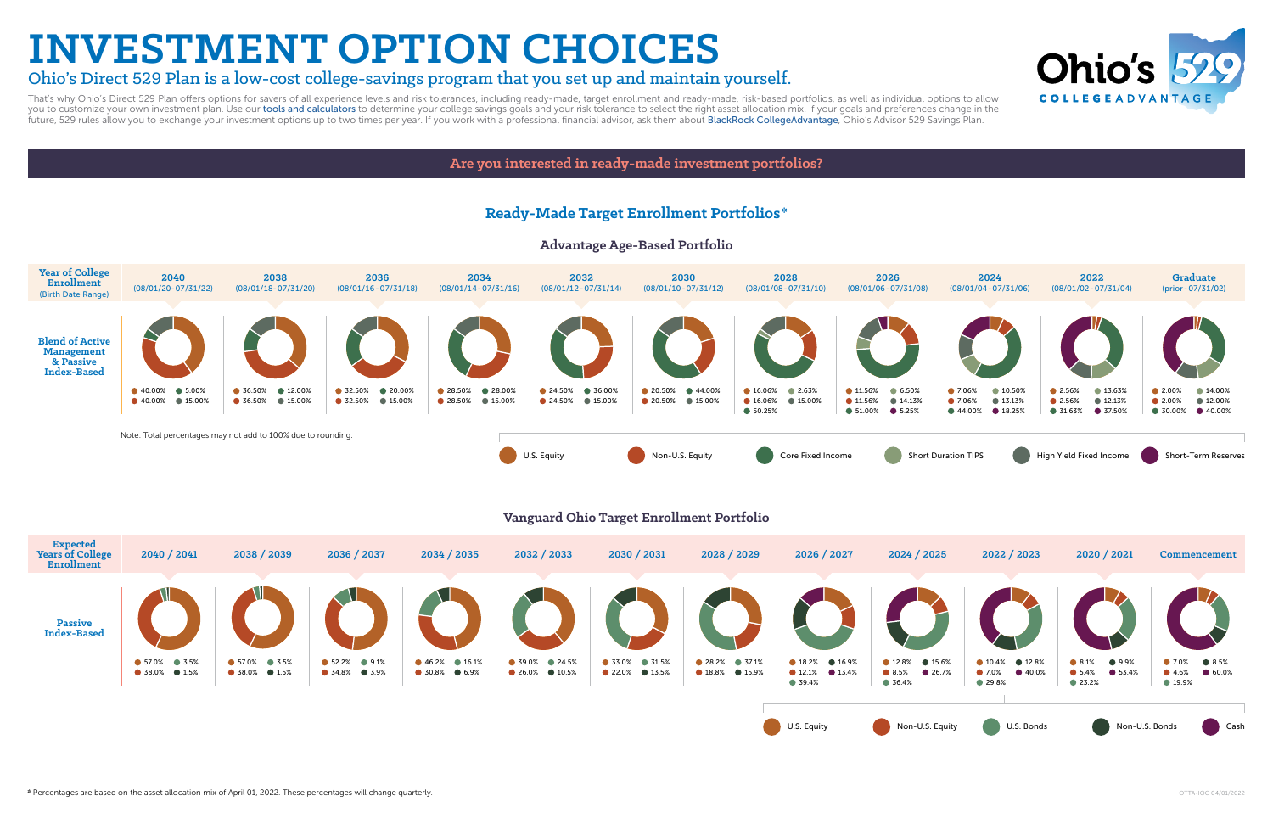# **INVESTMENT OPTION CHOICES**

## Ohio's Direct 529 Plan is a low-cost college-savings program that you set up and maintain yourself.

That's why Ohio's Direct 529 Plan offers options for savers of all experience levels and risk tolerances, including ready-made, target enrollment and ready-made, risk-based portfolios, as well as individual options to allo you to customize your own investment plan. Use our [tools and calculators](https://www.collegeadvantage.com/plan/calculators-and-tools) to determine your college savings goals and your risk tolerance to select the right asset allocation mix. If your goals and preferences change in the future, 529 rules allow you to exchange your investment options up to two times per year. If you work with a professional financial advisor, ask them about [BlackRock CollegeAdvantage](https://www.blackrock.com/us/individual/products/529-college-savings-plans/collegeadvantage-529-plan), Ohio's Advisor 529 Savings Plan.

**Are you interested in ready-made investment portfolios?**



### **Ready-Made Target Enrollment Portfolios\***

### **Advantage Age-Based Portfolio**





**Vanguard Ohio Target Enrollment Portfolio**